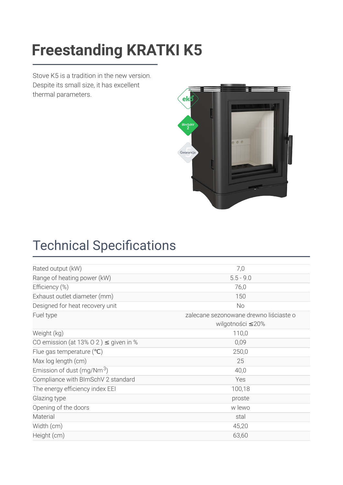### [Freestanding](https://kratki.com/sklep/en/produkt/1842/freestanding-stove-k5-s) KDATKLK5 **Freestanding KRATKI K5**

Stove K5 is a tradition in the new version. Despite its small size, it has excellent thermal parameters.



## **Technical Specifications**

| 7,0                                    |
|----------------------------------------|
| $5.5 - 9.0$                            |
| 76,0                                   |
| 150                                    |
| No                                     |
| zalecane sezonowane drewno liściaste o |
| wilgotności ≤20%                       |
| 110,0                                  |
| 0,09                                   |
| 250,0                                  |
| 25                                     |
| 40,0                                   |
| Yes                                    |
| 100,18                                 |
| proste                                 |
| w lewo                                 |
| stal                                   |
| 45,20                                  |
| 63,60                                  |
|                                        |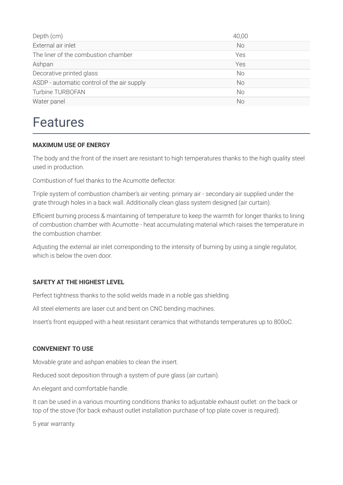| Depth (cm)                                 | 40,00     |
|--------------------------------------------|-----------|
| External air inlet                         | <b>No</b> |
| The liner of the combustion chamber        | Yes       |
| Ashpan                                     | Yes       |
| Decorative printed glass                   | No.       |
| ASDP - automatic control of the air supply | No.       |
| Turbine TURBOFAN                           | No.       |
| Water panel                                | No        |

### Features

#### **MAXIMUM USE OF ENERGY**

The body and the front of the insert are resistant to high temperatures thanks to the high quality steel used in production.

Combustion of fuel thanks to the Acumotte deflector

Triple system of combustion chamber's air venting: primary air - secondary air supplied under the grate through holes in a back wall. Additionally clean glass system designed (air curtain).

Efficient burning process & maintaining of temperature to keep the warmth for longer thanks to lining of combustion chamber with Acumotte - heat accumulating material which raises the temperature in the combustion chamber.

Adjusting the external air inlet corresponding to the intensity of burning by using a single regulator, which is below the oven door.

#### **SAFETY AT THE HIGHEST LEVEL**

Perfect tightness thanks to the solid welds made in a noble gas shielding.

All steel elements are laser cut and bent on CNC bending machines.

Insert's front equipped with a heat resistant ceramics that withstands temperatures up to 800oC.

#### **CONVENIENT TO USE**

Movable grate and ashpan enables to clean the insert.

Reduced soot deposition through a system of pure glass (air curtain).

An elegant and comfortable handle.

It can be used in a various mounting conditions thanks to adjustable exhaust outlet: on the back or top of the stove (for back exhaust outlet installation purchase of top plate cover is required).

5 year warranty.